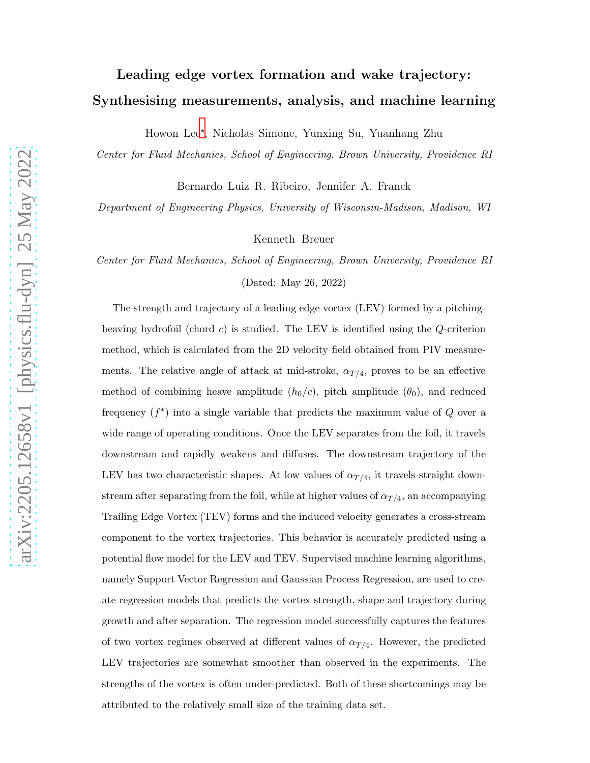# Leading edge vortex formation and wake trajectory: Synthesising measurements, analysis, and machine learning

Howon Lee[∗](#page-1-0) , Nicholas Simone, Yunxing Su, Yuanhang Zhu

Center for Fluid Mechanics, School of Engineering, Brown University, Providence RI

Bernardo Luiz R. Ribeiro, Jennifer A. Franck

Department of Engineering Physics, University of Wisconsin-Madison, Madison, WI

Kenneth Breuer

Center for Fluid Mechanics, School of Engineering, Brown University, Providence RI (Dated: May 26, 2022)

The strength and trajectory of a leading edge vortex (LEV) formed by a pitchingheaving hydrofoil (chord c) is studied. The LEV is identified using the Q-criterion method, which is calculated from the 2D velocity field obtained from PIV measurements. The relative angle of attack at mid-stroke,  $\alpha_{T/4}$ , proves to be an effective method of combining heave amplitude  $(h_0/c)$ , pitch amplitude  $(\theta_0)$ , and reduced frequency  $(f^*)$  into a single variable that predicts the maximum value of Q over a wide range of operating conditions. Once the LEV separates from the foil, it travels downstream and rapidly weakens and diffuses. The downstream trajectory of the LEV has two characteristic shapes. At low values of  $\alpha_{T/4}$ , it travels straight downstream after separating from the foil, while at higher values of  $\alpha_{T/4}$ , an accompanying Trailing Edge Vortex (TEV) forms and the induced velocity generates a cross-stream component to the vortex trajectories. This behavior is accurately predicted using a potential flow model for the LEV and TEV. Supervised machine learning algorithms, namely Support Vector Regression and Gaussian Process Regression, are used to create regression models that predicts the vortex strength, shape and trajectory during growth and after separation. The regression model successfully captures the features of two vortex regimes observed at different values of  $\alpha_{T/4}$ . However, the predicted LEV trajectories are somewhat smoother than observed in the experiments. The strengths of the vortex is often under-predicted. Both of these shortcomings may be attributed to the relatively small size of the training data set.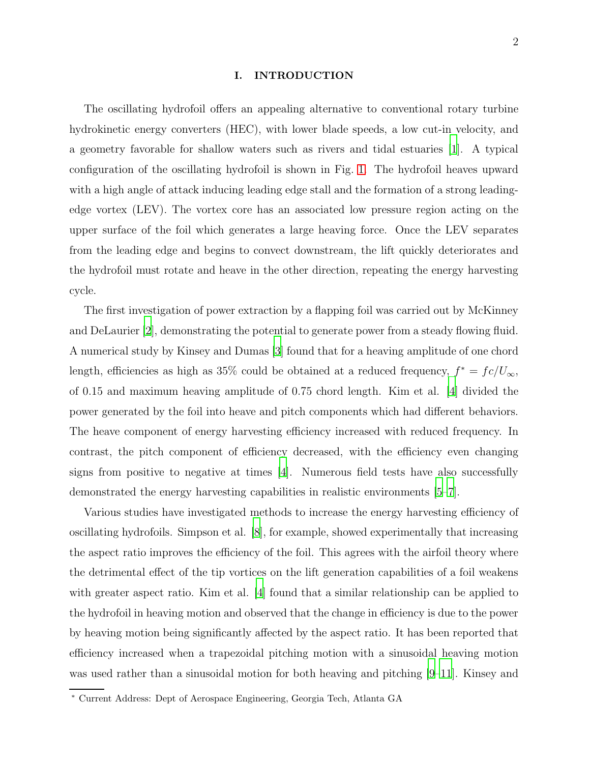# I. INTRODUCTION

The oscillating hydrofoil offers an appealing alternative to conventional rotary turbine hydrokinetic energy converters (HEC), with lower blade speeds, a low cut-in velocity, and a geometry favorable for shallow waters such as rivers and tidal estuaries [\[1](#page-17-0)]. A typical configuration of the oscillating hydrofoil is shown in Fig. [1.](#page-21-0) The hydrofoil heaves upward with a high angle of attack inducing leading edge stall and the formation of a strong leadingedge vortex (LEV). The vortex core has an associated low pressure region acting on the upper surface of the foil which generates a large heaving force. Once the LEV separates from the leading edge and begins to convect downstream, the lift quickly deteriorates and the hydrofoil must rotate and heave in the other direction, repeating the energy harvesting cycle.

The first investigation of power extraction by a flapping foil was carried out by McKinney and DeLaurier [\[2\]](#page-17-1), demonstrating the potential to generate power from a steady flowing fluid. A numerical study by Kinsey and Dumas [\[3](#page-17-2)] found that for a heaving amplitude of one chord length, efficiencies as high as 35% could be obtained at a reduced frequency,  $f^* = fc/U_{\infty}$ , of 0.15 and maximum heaving amplitude of 0.75 chord length. Kim et al. [\[4](#page-17-3)] divided the power generated by the foil into heave and pitch components which had different behaviors. The heave component of energy harvesting efficiency increased with reduced frequency. In contrast, the pitch component of efficiency decreased, with the efficiency even changing signs from positive to negative at times [\[4](#page-17-3)]. Numerous field tests have also successfully demonstrated the energy harvesting capabilities in realistic environments [\[5](#page-17-4)[–7](#page-17-5)].

Various studies have investigated methods to increase the energy harvesting efficiency of oscillating hydrofoils. Simpson et al. [\[8\]](#page-17-6), for example, showed experimentally that increasing the aspect ratio improves the efficiency of the foil. This agrees with the airfoil theory where the detrimental effect of the tip vortices on the lift generation capabilities of a foil weakens with greater aspect ratio. Kim et al. [\[4\]](#page-17-3) found that a similar relationship can be applied to the hydrofoil in heaving motion and observed that the change in efficiency is due to the power by heaving motion being significantly affected by the aspect ratio. It has been reported that efficiency increased when a trapezoidal pitching motion with a sinusoidal heaving motion was used rather than a sinusoidal motion for both heaving and pitching [\[9](#page-17-7)[–11](#page-17-8)]. Kinsey and

<span id="page-1-0"></span><sup>∗</sup> Current Address: Dept of Aerospace Engineering, Georgia Tech, Atlanta GA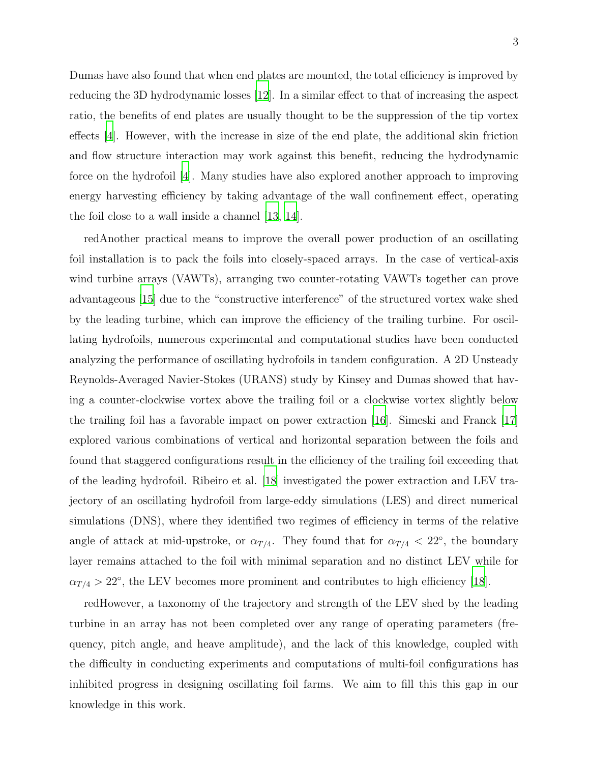Dumas have also found that when end plates are mounted, the total efficiency is improved by reducing the 3D hydrodynamic losses [\[12\]](#page-17-9). In a similar effect to that of increasing the aspect ratio, the benefits of end plates are usually thought to be the suppression of the tip vortex effects [\[4](#page-17-3)]. However, with the increase in size of the end plate, the additional skin friction and flow structure interaction may work against this benefit, reducing the hydrodynamic force on the hydrofoil [\[4\]](#page-17-3). Many studies have also explored another approach to improving energy harvesting efficiency by taking advantage of the wall confinement effect, operating the foil close to a wall inside a channel [\[13,](#page-17-10) [14\]](#page-17-11).

redAnother practical means to improve the overall power production of an oscillating foil installation is to pack the foils into closely-spaced arrays. In the case of vertical-axis wind turbine arrays (VAWTs), arranging two counter-rotating VAWTs together can prove advantageous [\[15](#page-17-12)] due to the "constructive interference" of the structured vortex wake shed by the leading turbine, which can improve the efficiency of the trailing turbine. For oscillating hydrofoils, numerous experimental and computational studies have been conducted analyzing the performance of oscillating hydrofoils in tandem configuration. A 2D Unsteady Reynolds-Averaged Navier-Stokes (URANS) study by Kinsey and Dumas showed that having a counter-clockwise vortex above the trailing foil or a clockwise vortex slightly below the trailing foil has a favorable impact on power extraction [\[16](#page-17-13)]. Simeski and Franck [\[17\]](#page-17-14) explored various combinations of vertical and horizontal separation between the foils and found that staggered configurations result in the efficiency of the trailing foil exceeding that of the leading hydrofoil. Ribeiro et al. [\[18](#page-17-15)] investigated the power extraction and LEV trajectory of an oscillating hydrofoil from large-eddy simulations (LES) and direct numerical simulations (DNS), where they identified two regimes of efficiency in terms of the relative angle of attack at mid-upstroke, or  $\alpha_{T/4}$ . They found that for  $\alpha_{T/4}$  < 22°, the boundary layer remains attached to the foil with minimal separation and no distinct LEV while for  $\alpha_{T/4} > 22^{\circ}$ , the LEV becomes more prominent and contributes to high efficiency [\[18](#page-17-15)].

redHowever, a taxonomy of the trajectory and strength of the LEV shed by the leading turbine in an array has not been completed over any range of operating parameters (frequency, pitch angle, and heave amplitude), and the lack of this knowledge, coupled with the difficulty in conducting experiments and computations of multi-foil configurations has inhibited progress in designing oscillating foil farms. We aim to fill this this gap in our knowledge in this work.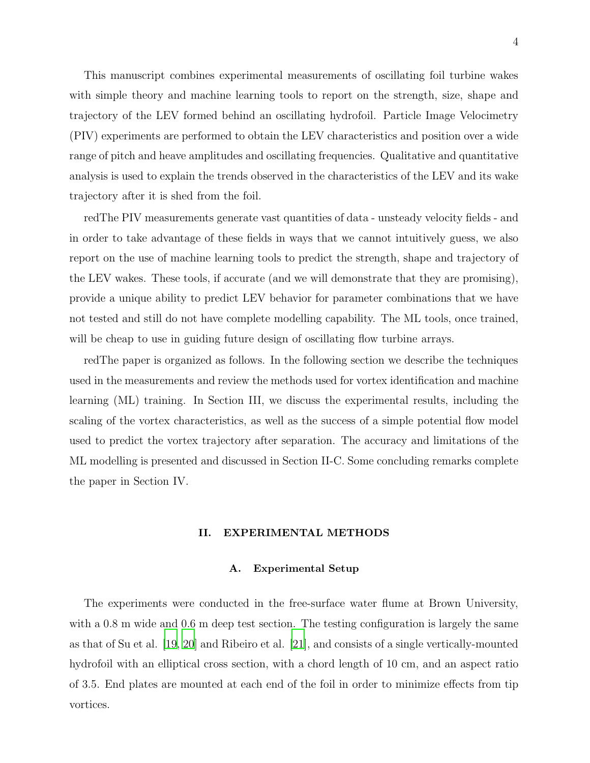This manuscript combines experimental measurements of oscillating foil turbine wakes with simple theory and machine learning tools to report on the strength, size, shape and trajectory of the LEV formed behind an oscillating hydrofoil. Particle Image Velocimetry (PIV) experiments are performed to obtain the LEV characteristics and position over a wide range of pitch and heave amplitudes and oscillating frequencies. Qualitative and quantitative analysis is used to explain the trends observed in the characteristics of the LEV and its wake trajectory after it is shed from the foil.

redThe PIV measurements generate vast quantities of data - unsteady velocity fields - and in order to take advantage of these fields in ways that we cannot intuitively guess, we also report on the use of machine learning tools to predict the strength, shape and trajectory of the LEV wakes. These tools, if accurate (and we will demonstrate that they are promising), provide a unique ability to predict LEV behavior for parameter combinations that we have not tested and still do not have complete modelling capability. The ML tools, once trained, will be cheap to use in guiding future design of oscillating flow turbine arrays.

redThe paper is organized as follows. In the following section we describe the techniques used in the measurements and review the methods used for vortex identification and machine learning (ML) training. In Section III, we discuss the experimental results, including the scaling of the vortex characteristics, as well as the success of a simple potential flow model used to predict the vortex trajectory after separation. The accuracy and limitations of the ML modelling is presented and discussed in Section II-C. Some concluding remarks complete the paper in Section IV.

## II. EXPERIMENTAL METHODS

#### A. Experimental Setup

The experiments were conducted in the free-surface water flume at Brown University, with a 0.8 m wide and 0.6 m deep test section. The testing configuration is largely the same as that of Su et al. [\[19,](#page-18-0) [20\]](#page-18-1) and Ribeiro et al. [\[21\]](#page-18-2), and consists of a single vertically-mounted hydrofoil with an elliptical cross section, with a chord length of 10 cm, and an aspect ratio of 3.5. End plates are mounted at each end of the foil in order to minimize effects from tip vortices.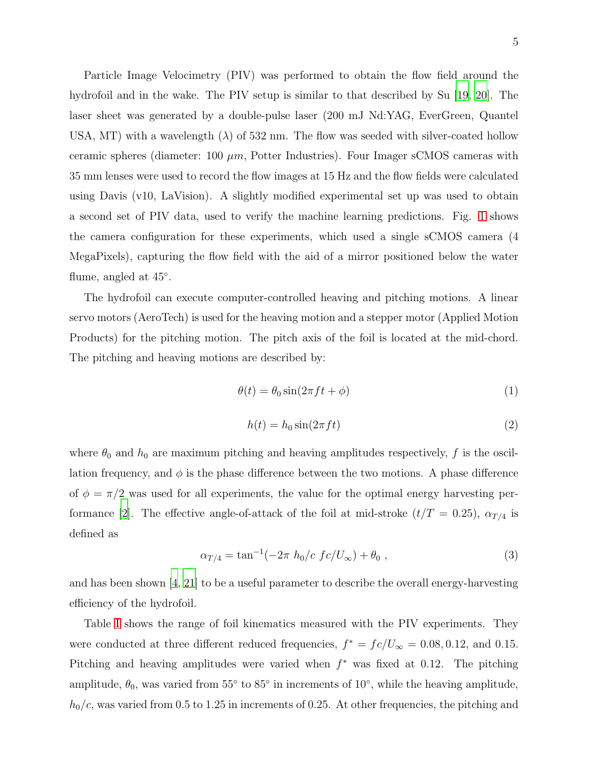Particle Image Velocimetry (PIV) was performed to obtain the flow field around the hydrofoil and in the wake. The PIV setup is similar to that described by Su [\[19](#page-18-0), [20\]](#page-18-1). The laser sheet was generated by a double-pulse laser (200 mJ Nd:YAG, EverGreen, Quantel USA, MT) with a wavelength  $(\lambda)$  of 532 nm. The flow was seeded with silver-coated hollow ceramic spheres (diameter:  $100 \mu m$ , Potter Industries). Four Imager sCMOS cameras with 35 mm lenses were used to record the flow images at 15 Hz and the flow fields were calculated using Davis (v10, LaVision). A slightly modified experimental set up was used to obtain a second set of PIV data, used to verify the machine learning predictions. Fig. [1](#page-21-0) shows the camera configuration for these experiments, which used a single sCMOS camera (4 MegaPixels), capturing the flow field with the aid of a mirror positioned below the water flume, angled at  $45^\circ$ .

The hydrofoil can execute computer-controlled heaving and pitching motions. A linear servo motors (AeroTech) is used for the heaving motion and a stepper motor (Applied Motion Products) for the pitching motion. The pitch axis of the foil is located at the mid-chord. The pitching and heaving motions are described by:

$$
\theta(t) = \theta_0 \sin(2\pi f t + \phi) \tag{1}
$$

$$
h(t) = h_0 \sin(2\pi f t) \tag{2}
$$

where  $\theta_0$  and  $h_0$  are maximum pitching and heaving amplitudes respectively, f is the oscillation frequency, and  $\phi$  is the phase difference between the two motions. A phase difference of  $\phi = \pi/2$  was used for all experiments, the value for the optimal energy harvesting per-formance [\[2](#page-17-1)]. The effective angle-of-attack of the foil at mid-stroke  $(t/T = 0.25)$ ,  $\alpha_{T/4}$  is defined as

<span id="page-4-0"></span>
$$
\alpha_{T/4} = \tan^{-1}(-2\pi h_0/c \, f c/U_{\infty}) + \theta_0 \,, \tag{3}
$$

and has been shown [\[4,](#page-17-3) [21\]](#page-18-2) to be a useful parameter to describe the overall energy-harvesting efficiency of the hydrofoil.

Table [I](#page-19-0) shows the range of foil kinematics measured with the PIV experiments. They were conducted at three different reduced frequencies,  $f^* = fc/U_{\infty} = 0.08, 0.12,$  and 0.15. Pitching and heaving amplitudes were varied when  $f^*$  was fixed at 0.12. The pitching amplitude,  $\theta_0$ , was varied from 55° to 85° in increments of 10°, while the heaving amplitude,  $h_0/c$ , was varied from 0.5 to 1.25 in increments of 0.25. At other frequencies, the pitching and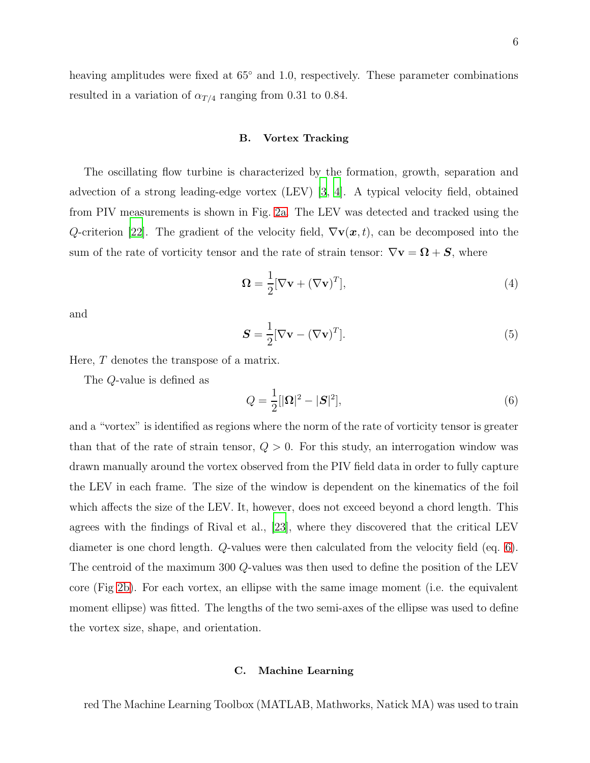heaving amplitudes were fixed at 65◦ and 1.0, respectively. These parameter combinations resulted in a variation of  $\alpha_{T/4}$  ranging from 0.31 to 0.84.

## B. Vortex Tracking

The oscillating flow turbine is characterized by the formation, growth, separation and advection of a strong leading-edge vortex (LEV) [\[3](#page-17-2), [4\]](#page-17-3). A typical velocity field, obtained from PIV measurements is shown in Fig. [2a.](#page-22-0) The LEV was detected and tracked using the Q-criterion [\[22\]](#page-18-3). The gradient of the velocity field,  $\nabla$ **v** $(\boldsymbol{x}, t)$ , can be decomposed into the sum of the rate of vorticity tensor and the rate of strain tensor:  $\nabla v = \mathbf{\Omega} + \mathbf{S}$ , where

$$
\Omega = \frac{1}{2} [\nabla \mathbf{v} + (\nabla \mathbf{v})^T],\tag{4}
$$

and

$$
\mathbf{S} = \frac{1}{2} [\nabla \mathbf{v} - (\nabla \mathbf{v})^T]. \tag{5}
$$

Here, T denotes the transpose of a matrix.

The Q-value is defined as

<span id="page-5-0"></span>
$$
Q = \frac{1}{2} [|\mathbf{\Omega}|^2 - |\mathbf{S}|^2],\tag{6}
$$

and a "vortex" is identified as regions where the norm of the rate of vorticity tensor is greater than that of the rate of strain tensor,  $Q > 0$ . For this study, an interrogation window was drawn manually around the vortex observed from the PIV field data in order to fully capture the LEV in each frame. The size of the window is dependent on the kinematics of the foil which affects the size of the LEV. It, however, does not exceed beyond a chord length. This agrees with the findings of Rival et al., [\[23\]](#page-18-4), where they discovered that the critical LEV diameter is one chord length. Q-values were then calculated from the velocity field (eq. [6\)](#page-5-0). The centroid of the maximum 300 Q-values was then used to define the position of the LEV core (Fig [2b\)](#page-22-1). For each vortex, an ellipse with the same image moment (i.e. the equivalent moment ellipse) was fitted. The lengths of the two semi-axes of the ellipse was used to define the vortex size, shape, and orientation.

#### C. Machine Learning

red The Machine Learning Toolbox (MATLAB, Mathworks, Natick MA) was used to train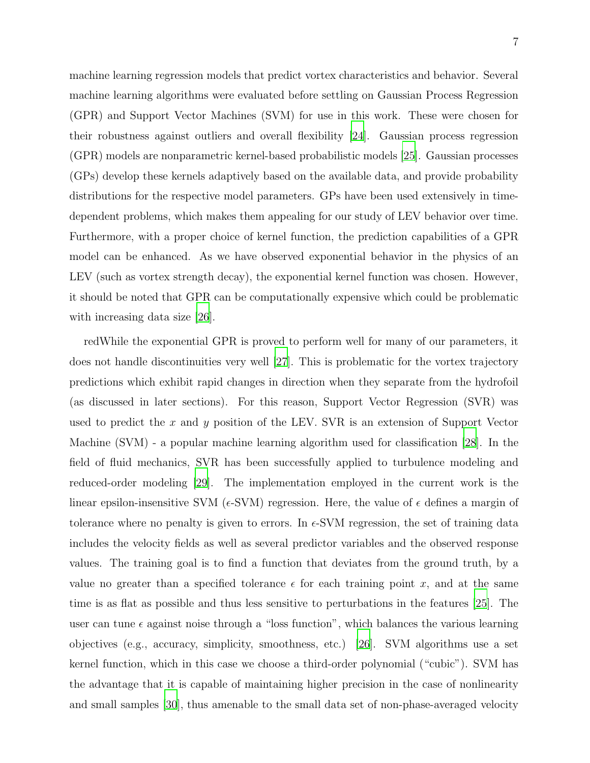machine learning regression models that predict vortex characteristics and behavior. Several machine learning algorithms were evaluated before settling on Gaussian Process Regression (GPR) and Support Vector Machines (SVM) for use in this work. These were chosen for their robustness against outliers and overall flexibility [\[24](#page-18-5)]. Gaussian process regression (GPR) models are nonparametric kernel-based probabilistic models [\[25\]](#page-18-6). Gaussian processes (GPs) develop these kernels adaptively based on the available data, and provide probability distributions for the respective model parameters. GPs have been used extensively in timedependent problems, which makes them appealing for our study of LEV behavior over time. Furthermore, with a proper choice of kernel function, the prediction capabilities of a GPR model can be enhanced. As we have observed exponential behavior in the physics of an LEV (such as vortex strength decay), the exponential kernel function was chosen. However, it should be noted that GPR can be computationally expensive which could be problematic with increasing data size [\[26](#page-18-7)].

redWhile the exponential GPR is proved to perform well for many of our parameters, it does not handle discontinuities very well [\[27](#page-18-8)]. This is problematic for the vortex trajectory predictions which exhibit rapid changes in direction when they separate from the hydrofoil (as discussed in later sections). For this reason, Support Vector Regression (SVR) was used to predict the x and y position of the LEV. SVR is an extension of Support Vector Machine (SVM) - a popular machine learning algorithm used for classification [\[28](#page-18-9)]. In the field of fluid mechanics, SVR has been successfully applied to turbulence modeling and reduced-order modeling [\[29](#page-18-10)]. The implementation employed in the current work is the linear epsilon-insensitive SVM ( $\epsilon$ -SVM) regression. Here, the value of  $\epsilon$  defines a margin of tolerance where no penalty is given to errors. In  $\epsilon$ -SVM regression, the set of training data includes the velocity fields as well as several predictor variables and the observed response values. The training goal is to find a function that deviates from the ground truth, by a value no greater than a specified tolerance  $\epsilon$  for each training point x, and at the same time is as flat as possible and thus less sensitive to perturbations in the features [\[25\]](#page-18-6). The user can tune  $\epsilon$  against noise through a "loss function", which balances the various learning objectives (e.g., accuracy, simplicity, smoothness, etc.) [\[26\]](#page-18-7). SVM algorithms use a set kernel function, which in this case we choose a third-order polynomial ("cubic"). SVM has the advantage that it is capable of maintaining higher precision in the case of nonlinearity and small samples [\[30\]](#page-18-11), thus amenable to the small data set of non-phase-averaged velocity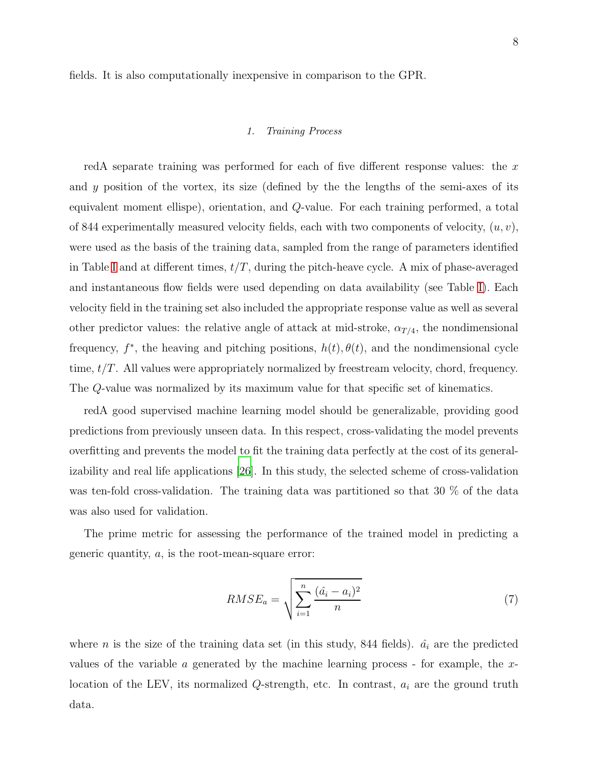fields. It is also computationally inexpensive in comparison to the GPR.

## 1. Training Process

redA separate training was performed for each of five different response values: the  $x$ and y position of the vortex, its size (defined by the the lengths of the semi-axes of its equivalent moment ellispe), orientation, and Q-value. For each training performed, a total of 844 experimentally measured velocity fields, each with two components of velocity,  $(u, v)$ , were used as the basis of the training data, sampled from the range of parameters identified in Table [I](#page-19-0) and at different times,  $t/T$ , during the pitch-heave cycle. A mix of phase-averaged and instantaneous flow fields were used depending on data availability (see Table [I\)](#page-19-0). Each velocity field in the training set also included the appropriate response value as well as several other predictor values: the relative angle of attack at mid-stroke,  $\alpha_{T/4}$ , the nondimensional frequency,  $f^*$ , the heaving and pitching positions,  $h(t)$ ,  $\theta(t)$ , and the nondimensional cycle time, t/T. All values were appropriately normalized by freestream velocity, chord, frequency. The Q-value was normalized by its maximum value for that specific set of kinematics.

redA good supervised machine learning model should be generalizable, providing good predictions from previously unseen data. In this respect, cross-validating the model prevents overfitting and prevents the model to fit the training data perfectly at the cost of its generalizability and real life applications [\[26](#page-18-7)]. In this study, the selected scheme of cross-validation was ten-fold cross-validation. The training data was partitioned so that 30 % of the data was also used for validation.

The prime metric for assessing the performance of the trained model in predicting a generic quantity,  $a$ , is the root-mean-square error:

<span id="page-7-0"></span>
$$
RMSE_a = \sqrt{\sum_{i=1}^{n} \frac{(\hat{a}_i - a_i)^2}{n}}
$$
\n
$$
(7)
$$

where *n* is the size of the training data set (in this study, 844 fields).  $\hat{a}_i$  are the predicted values of the variable a generated by the machine learning process - for example, the  $x$ location of the LEV, its normalized  $Q$ -strength, etc. In contrast,  $a_i$  are the ground truth data.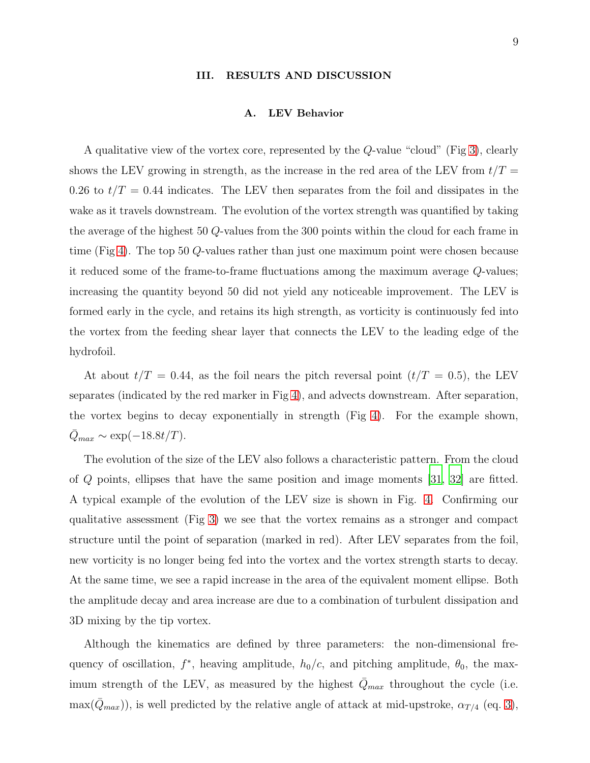#### III. RESULTS AND DISCUSSION

#### A. LEV Behavior

A qualitative view of the vortex core, represented by the Q-value "cloud" (Fig [3\)](#page-23-0), clearly shows the LEV growing in strength, as the increase in the red area of the LEV from  $t/T =$ 0.26 to  $t/T = 0.44$  indicates. The LEV then separates from the foil and dissipates in the wake as it travels downstream. The evolution of the vortex strength was quantified by taking the average of the highest 50 Q-values from the 300 points within the cloud for each frame in time (Fig [4\)](#page-24-0). The top 50 Q-values rather than just one maximum point were chosen because it reduced some of the frame-to-frame fluctuations among the maximum average Q-values; increasing the quantity beyond 50 did not yield any noticeable improvement. The LEV is formed early in the cycle, and retains its high strength, as vorticity is continuously fed into the vortex from the feeding shear layer that connects the LEV to the leading edge of the hydrofoil.

At about  $t/T = 0.44$ , as the foil nears the pitch reversal point  $(t/T = 0.5)$ , the LEV separates (indicated by the red marker in Fig [4\)](#page-24-0), and advects downstream. After separation, the vortex begins to decay exponentially in strength (Fig [4\)](#page-24-0). For the example shown,  $\bar{Q}_{max} \sim \exp(-18.8t/T).$ 

The evolution of the size of the LEV also follows a characteristic pattern. From the cloud of Q points, ellipses that have the same position and image moments [\[31,](#page-18-12) [32\]](#page-18-13) are fitted. A typical example of the evolution of the LEV size is shown in Fig. [4.](#page-24-0) Confirming our qualitative assessment (Fig [3\)](#page-23-0) we see that the vortex remains as a stronger and compact structure until the point of separation (marked in red). After LEV separates from the foil, new vorticity is no longer being fed into the vortex and the vortex strength starts to decay. At the same time, we see a rapid increase in the area of the equivalent moment ellipse. Both the amplitude decay and area increase are due to a combination of turbulent dissipation and 3D mixing by the tip vortex.

Although the kinematics are defined by three parameters: the non-dimensional frequency of oscillation,  $f^*$ , heaving amplitude,  $h_0/c$ , and pitching amplitude,  $\theta_0$ , the maximum strength of the LEV, as measured by the highest  $\overline{Q}_{max}$  throughout the cycle (i.e.  $\max(\bar{Q}_{max})$ , is well predicted by the relative angle of attack at mid-upstroke,  $\alpha_{T/4}$  (eq. [3\)](#page-4-0),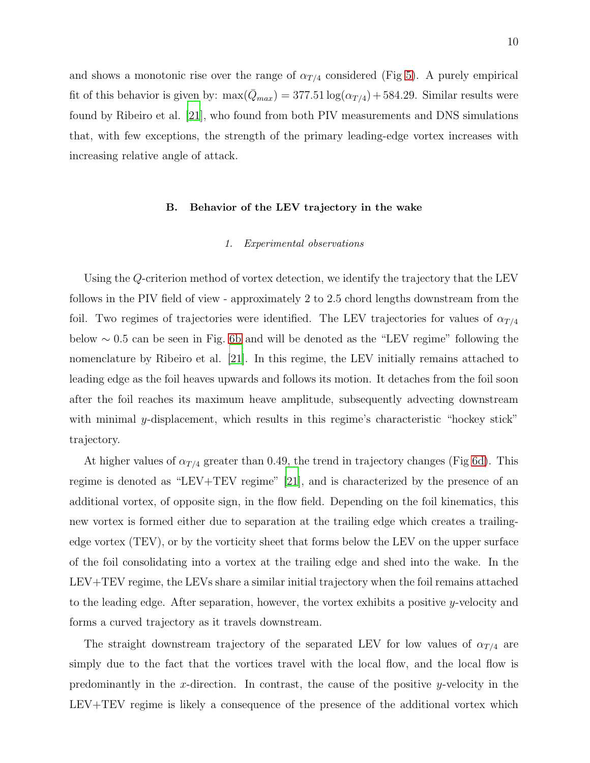and shows a monotonic rise over the range of  $\alpha_{T/4}$  considered (Fig [5\)](#page-25-0). A purely empirical fit of this behavior is given by:  $\max(\bar{Q}_{max}) = 377.51 \log(\alpha_{T/4}) + 584.29$ . Similar results were found by Ribeiro et al. [\[21\]](#page-18-2), who found from both PIV measurements and DNS simulations that, with few exceptions, the strength of the primary leading-edge vortex increases with increasing relative angle of attack.

### B. Behavior of the LEV trajectory in the wake

#### 1. Experimental observations

Using the Q-criterion method of vortex detection, we identify the trajectory that the LEV follows in the PIV field of view - approximately 2 to 2.5 chord lengths downstream from the foil. Two regimes of trajectories were identified. The LEV trajectories for values of  $\alpha_{T/4}$ below ∼ 0.5 can be seen in Fig. [6b](#page-26-0) and will be denoted as the "LEV regime" following the nomenclature by Ribeiro et al. [\[21](#page-18-2)]. In this regime, the LEV initially remains attached to leading edge as the foil heaves upwards and follows its motion. It detaches from the foil soon after the foil reaches its maximum heave amplitude, subsequently advecting downstream with minimal y-displacement, which results in this regime's characteristic "hockey stick" trajectory.

At higher values of  $\alpha_{T/4}$  greater than 0.49, the trend in trajectory changes (Fig [6d\)](#page-26-1). This regime is denoted as "LEV+TEV regime" [\[21](#page-18-2)], and is characterized by the presence of an additional vortex, of opposite sign, in the flow field. Depending on the foil kinematics, this new vortex is formed either due to separation at the trailing edge which creates a trailingedge vortex (TEV), or by the vorticity sheet that forms below the LEV on the upper surface of the foil consolidating into a vortex at the trailing edge and shed into the wake. In the LEV+TEV regime, the LEVs share a similar initial trajectory when the foil remains attached to the leading edge. After separation, however, the vortex exhibits a positive y-velocity and forms a curved trajectory as it travels downstream.

The straight downstream trajectory of the separated LEV for low values of  $\alpha_{T/4}$  are simply due to the fact that the vortices travel with the local flow, and the local flow is predominantly in the x-direction. In contrast, the cause of the positive y-velocity in the LEV+TEV regime is likely a consequence of the presence of the additional vortex which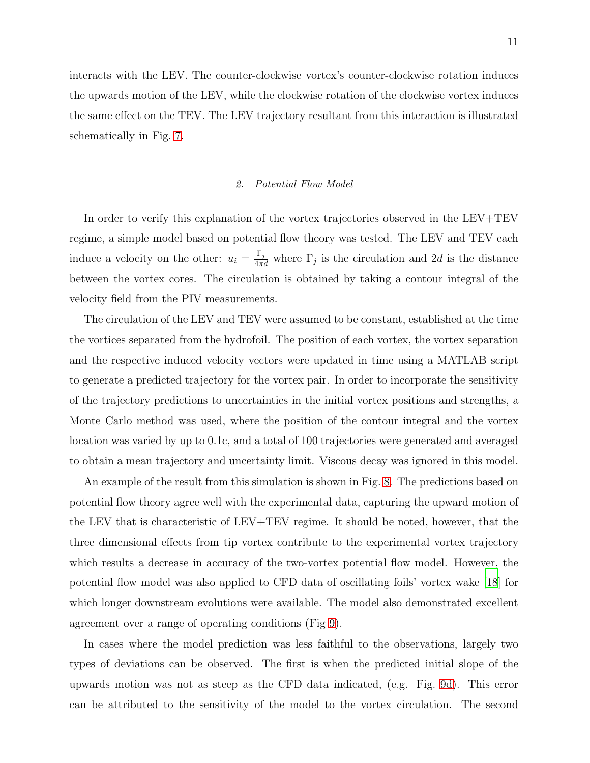interacts with the LEV. The counter-clockwise vortex's counter-clockwise rotation induces the upwards motion of the LEV, while the clockwise rotation of the clockwise vortex induces the same effect on the TEV. The LEV trajectory resultant from this interaction is illustrated schematically in Fig. [7.](#page-27-0)

#### 2. Potential Flow Model

In order to verify this explanation of the vortex trajectories observed in the LEV+TEV regime, a simple model based on potential flow theory was tested. The LEV and TEV each induce a velocity on the other:  $u_i = \frac{\Gamma_j}{4\pi d}$  where  $\Gamma_j$  is the circulation and 2d is the distance between the vortex cores. The circulation is obtained by taking a contour integral of the velocity field from the PIV measurements.

The circulation of the LEV and TEV were assumed to be constant, established at the time the vortices separated from the hydrofoil. The position of each vortex, the vortex separation and the respective induced velocity vectors were updated in time using a MATLAB script to generate a predicted trajectory for the vortex pair. In order to incorporate the sensitivity of the trajectory predictions to uncertainties in the initial vortex positions and strengths, a Monte Carlo method was used, where the position of the contour integral and the vortex location was varied by up to 0.1c, and a total of 100 trajectories were generated and averaged to obtain a mean trajectory and uncertainty limit. Viscous decay was ignored in this model.

An example of the result from this simulation is shown in Fig. [8.](#page-28-0) The predictions based on potential flow theory agree well with the experimental data, capturing the upward motion of the LEV that is characteristic of LEV+TEV regime. It should be noted, however, that the three dimensional effects from tip vortex contribute to the experimental vortex trajectory which results a decrease in accuracy of the two-vortex potential flow model. However, the potential flow model was also applied to CFD data of oscillating foils' vortex wake [\[18\]](#page-17-15) for which longer downstream evolutions were available. The model also demonstrated excellent agreement over a range of operating conditions (Fig [9\)](#page-29-0).

In cases where the model prediction was less faithful to the observations, largely two types of deviations can be observed. The first is when the predicted initial slope of the upwards motion was not as steep as the CFD data indicated, (e.g. Fig. [9d\)](#page-29-1). This error can be attributed to the sensitivity of the model to the vortex circulation. The second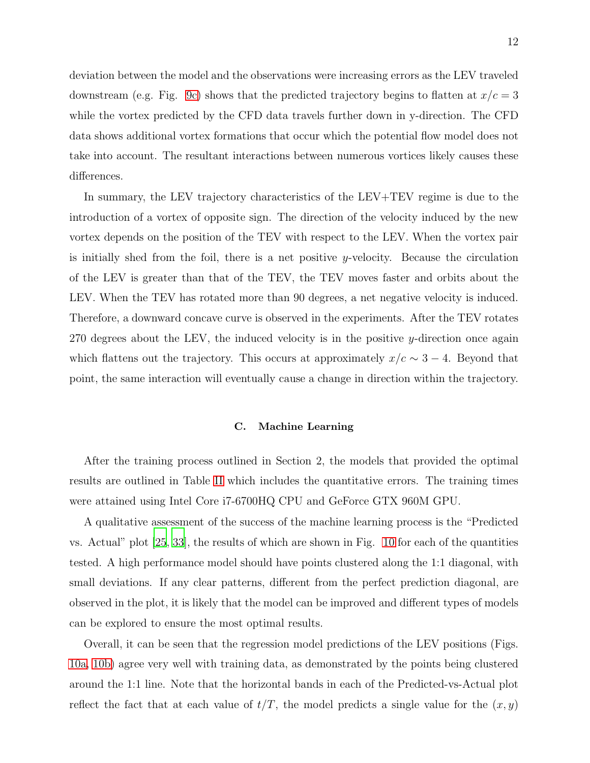deviation between the model and the observations were increasing errors as the LEV traveled downstream (e.g. Fig. [9c\)](#page-29-2) shows that the predicted trajectory begins to flatten at  $x/c = 3$ while the vortex predicted by the CFD data travels further down in y-direction. The CFD data shows additional vortex formations that occur which the potential flow model does not take into account. The resultant interactions between numerous vortices likely causes these differences.

In summary, the LEV trajectory characteristics of the LEV+TEV regime is due to the introduction of a vortex of opposite sign. The direction of the velocity induced by the new vortex depends on the position of the TEV with respect to the LEV. When the vortex pair is initially shed from the foil, there is a net positive y-velocity. Because the circulation of the LEV is greater than that of the TEV, the TEV moves faster and orbits about the LEV. When the TEV has rotated more than 90 degrees, a net negative velocity is induced. Therefore, a downward concave curve is observed in the experiments. After the TEV rotates 270 degrees about the LEV, the induced velocity is in the positive y-direction once again which flattens out the trajectory. This occurs at approximately  $x/c \sim 3 - 4$ . Beyond that point, the same interaction will eventually cause a change in direction within the trajectory.

## C. Machine Learning

After the training process outlined in Section 2, the models that provided the optimal results are outlined in Table [II](#page-19-1) which includes the quantitative errors. The training times were attained using Intel Core i7-6700HQ CPU and GeForce GTX 960M GPU.

A qualitative assessment of the success of the machine learning process is the "Predicted vs. Actual" plot [\[25,](#page-18-6) [33](#page-18-14)], the results of which are shown in Fig. [10](#page-30-0) for each of the quantities tested. A high performance model should have points clustered along the 1:1 diagonal, with small deviations. If any clear patterns, different from the perfect prediction diagonal, are observed in the plot, it is likely that the model can be improved and different types of models can be explored to ensure the most optimal results.

Overall, it can be seen that the regression model predictions of the LEV positions (Figs. [10a,](#page-30-1) [10b\)](#page-30-2) agree very well with training data, as demonstrated by the points being clustered around the 1:1 line. Note that the horizontal bands in each of the Predicted-vs-Actual plot reflect the fact that at each value of  $t/T$ , the model predicts a single value for the  $(x, y)$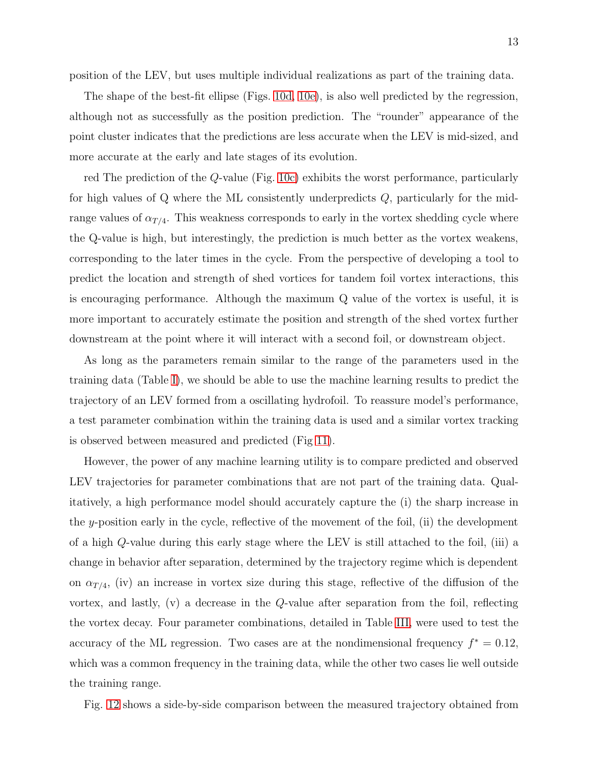The shape of the best-fit ellipse (Figs. [10d,](#page-30-3) [10e\)](#page-30-4), is also well predicted by the regression, although not as successfully as the position prediction. The "rounder" appearance of the point cluster indicates that the predictions are less accurate when the LEV is mid-sized, and more accurate at the early and late stages of its evolution.

red The prediction of the Q-value (Fig. [10c\)](#page-30-5) exhibits the worst performance, particularly for high values of Q where the ML consistently underpredicts Q, particularly for the midrange values of  $\alpha_{T/4}$ . This weakness corresponds to early in the vortex shedding cycle where the Q-value is high, but interestingly, the prediction is much better as the vortex weakens, corresponding to the later times in the cycle. From the perspective of developing a tool to predict the location and strength of shed vortices for tandem foil vortex interactions, this is encouraging performance. Although the maximum Q value of the vortex is useful, it is more important to accurately estimate the position and strength of the shed vortex further downstream at the point where it will interact with a second foil, or downstream object.

As long as the parameters remain similar to the range of the parameters used in the training data (Table [I\)](#page-19-0), we should be able to use the machine learning results to predict the trajectory of an LEV formed from a oscillating hydrofoil. To reassure model's performance, a test parameter combination within the training data is used and a similar vortex tracking is observed between measured and predicted (Fig [11\)](#page-31-0).

However, the power of any machine learning utility is to compare predicted and observed LEV trajectories for parameter combinations that are not part of the training data. Qualitatively, a high performance model should accurately capture the (i) the sharp increase in the y-position early in the cycle, reflective of the movement of the foil, (ii) the development of a high Q-value during this early stage where the LEV is still attached to the foil, (iii) a change in behavior after separation, determined by the trajectory regime which is dependent on  $\alpha_{T/4}$ , (iv) an increase in vortex size during this stage, reflective of the diffusion of the vortex, and lastly, (v) a decrease in the Q-value after separation from the foil, reflecting the vortex decay. Four parameter combinations, detailed in Table [III,](#page-20-0) were used to test the accuracy of the ML regression. Two cases are at the nondimensional frequency  $f^* = 0.12$ , which was a common frequency in the training data, while the other two cases lie well outside the training range.

Fig. [12](#page-32-0) shows a side-by-side comparison between the measured trajectory obtained from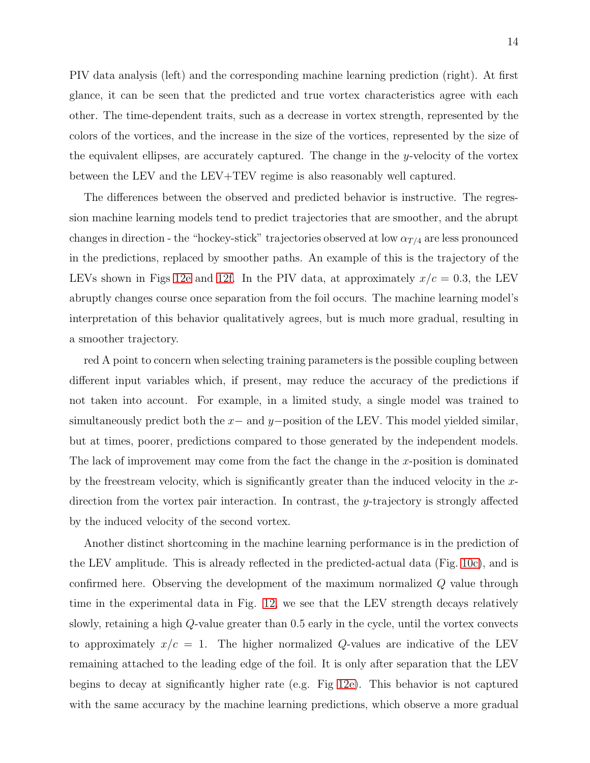PIV data analysis (left) and the corresponding machine learning prediction (right). At first glance, it can be seen that the predicted and true vortex characteristics agree with each other. The time-dependent traits, such as a decrease in vortex strength, represented by the colors of the vortices, and the increase in the size of the vortices, represented by the size of the equivalent ellipses, are accurately captured. The change in the y-velocity of the vortex between the LEV and the LEV+TEV regime is also reasonably well captured.

The differences between the observed and predicted behavior is instructive. The regression machine learning models tend to predict trajectories that are smoother, and the abrupt changes in direction - the "hockey-stick" trajectories observed at low  $\alpha_{T/4}$  are less pronounced in the predictions, replaced by smoother paths. An example of this is the trajectory of the LEVs shown in Figs [12e](#page-32-1) and [12f.](#page-32-2) In the PIV data, at approximately  $x/c = 0.3$ , the LEV abruptly changes course once separation from the foil occurs. The machine learning model's interpretation of this behavior qualitatively agrees, but is much more gradual, resulting in a smoother trajectory.

red A point to concern when selecting training parameters is the possible coupling between different input variables which, if present, may reduce the accuracy of the predictions if not taken into account. For example, in a limited study, a single model was trained to simultaneously predict both the  $x-$  and  $y-$ position of the LEV. This model yielded similar, but at times, poorer, predictions compared to those generated by the independent models. The lack of improvement may come from the fact the change in the x-position is dominated by the freestream velocity, which is significantly greater than the induced velocity in the  $x$ direction from the vortex pair interaction. In contrast, the y-trajectory is strongly affected by the induced velocity of the second vortex.

Another distinct shortcoming in the machine learning performance is in the prediction of the LEV amplitude. This is already reflected in the predicted-actual data (Fig. [10c\)](#page-30-5), and is confirmed here. Observing the development of the maximum normalized Q value through time in the experimental data in Fig. [12,](#page-32-0) we see that the LEV strength decays relatively slowly, retaining a high Q-value greater than 0.5 early in the cycle, until the vortex convects to approximately  $x/c = 1$ . The higher normalized Q-values are indicative of the LEV remaining attached to the leading edge of the foil. It is only after separation that the LEV begins to decay at significantly higher rate (e.g. Fig [12e\)](#page-32-1). This behavior is not captured with the same accuracy by the machine learning predictions, which observe a more gradual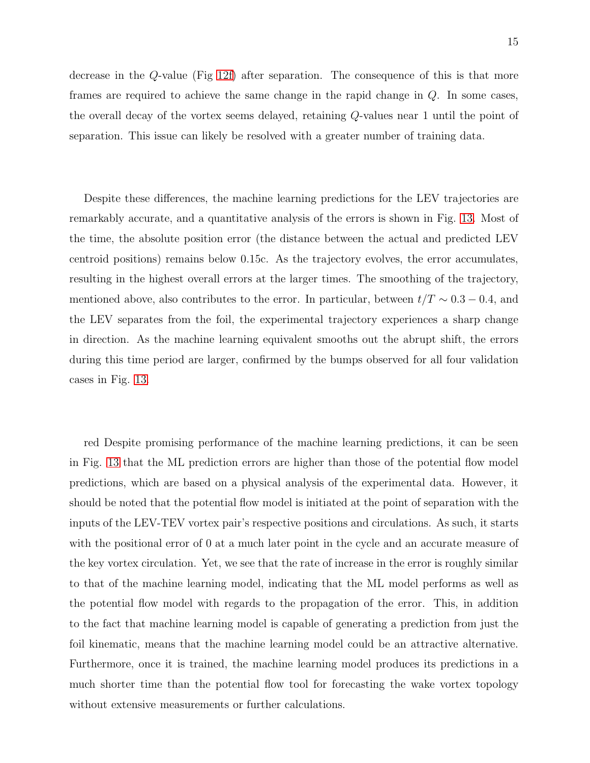decrease in the Q-value (Fig [12f\)](#page-32-2) after separation. The consequence of this is that more frames are required to achieve the same change in the rapid change in Q. In some cases, the overall decay of the vortex seems delayed, retaining Q-values near 1 until the point of separation. This issue can likely be resolved with a greater number of training data.

Despite these differences, the machine learning predictions for the LEV trajectories are remarkably accurate, and a quantitative analysis of the errors is shown in Fig. [13.](#page-33-0) Most of the time, the absolute position error (the distance between the actual and predicted LEV centroid positions) remains below 0.15c. As the trajectory evolves, the error accumulates, resulting in the highest overall errors at the larger times. The smoothing of the trajectory, mentioned above, also contributes to the error. In particular, between  $t/T \sim 0.3 - 0.4$ , and the LEV separates from the foil, the experimental trajectory experiences a sharp change in direction. As the machine learning equivalent smooths out the abrupt shift, the errors during this time period are larger, confirmed by the bumps observed for all four validation cases in Fig. [13.](#page-33-0)

red Despite promising performance of the machine learning predictions, it can be seen in Fig. [13](#page-33-0) that the ML prediction errors are higher than those of the potential flow model predictions, which are based on a physical analysis of the experimental data. However, it should be noted that the potential flow model is initiated at the point of separation with the inputs of the LEV-TEV vortex pair's respective positions and circulations. As such, it starts with the positional error of 0 at a much later point in the cycle and an accurate measure of the key vortex circulation. Yet, we see that the rate of increase in the error is roughly similar to that of the machine learning model, indicating that the ML model performs as well as the potential flow model with regards to the propagation of the error. This, in addition to the fact that machine learning model is capable of generating a prediction from just the foil kinematic, means that the machine learning model could be an attractive alternative. Furthermore, once it is trained, the machine learning model produces its predictions in a much shorter time than the potential flow tool for forecasting the wake vortex topology without extensive measurements or further calculations.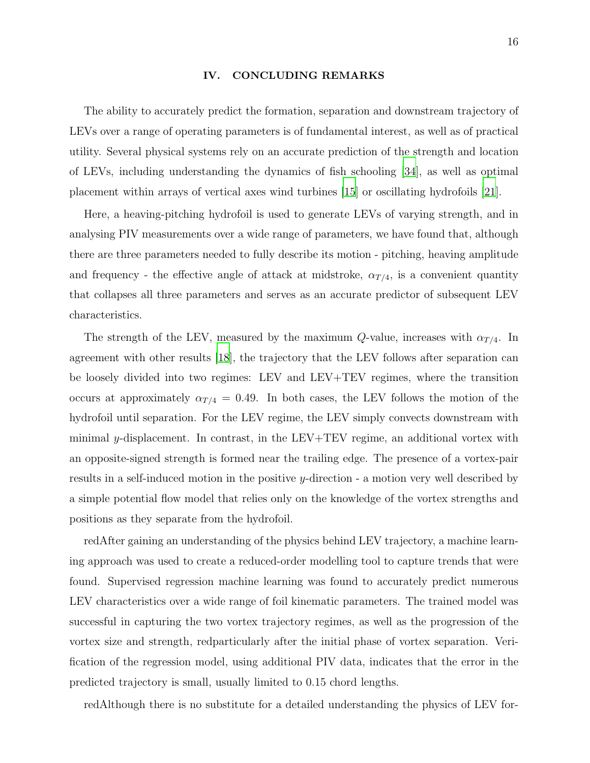#### IV. CONCLUDING REMARKS

The ability to accurately predict the formation, separation and downstream trajectory of LEVs over a range of operating parameters is of fundamental interest, as well as of practical utility. Several physical systems rely on an accurate prediction of the strength and location of LEVs, including understanding the dynamics of fish schooling [\[34\]](#page-18-15), as well as optimal placement within arrays of vertical axes wind turbines [\[15](#page-17-12)] or oscillating hydrofoils [\[21\]](#page-18-2).

Here, a heaving-pitching hydrofoil is used to generate LEVs of varying strength, and in analysing PIV measurements over a wide range of parameters, we have found that, although there are three parameters needed to fully describe its motion - pitching, heaving amplitude and frequency - the effective angle of attack at midstroke,  $\alpha_{T/4}$ , is a convenient quantity that collapses all three parameters and serves as an accurate predictor of subsequent LEV characteristics.

The strength of the LEV, measured by the maximum Q-value, increases with  $\alpha_{T/4}$ . In agreement with other results [\[18](#page-17-15)], the trajectory that the LEV follows after separation can be loosely divided into two regimes: LEV and LEV+TEV regimes, where the transition occurs at approximately  $\alpha_{T/4} = 0.49$ . In both cases, the LEV follows the motion of the hydrofoil until separation. For the LEV regime, the LEV simply convects downstream with minimal  $y$ -displacement. In contrast, in the LEV+TEV regime, an additional vortex with an opposite-signed strength is formed near the trailing edge. The presence of a vortex-pair results in a self-induced motion in the positive y-direction - a motion very well described by a simple potential flow model that relies only on the knowledge of the vortex strengths and positions as they separate from the hydrofoil.

redAfter gaining an understanding of the physics behind LEV trajectory, a machine learning approach was used to create a reduced-order modelling tool to capture trends that were found. Supervised regression machine learning was found to accurately predict numerous LEV characteristics over a wide range of foil kinematic parameters. The trained model was successful in capturing the two vortex trajectory regimes, as well as the progression of the vortex size and strength, redparticularly after the initial phase of vortex separation. Verification of the regression model, using additional PIV data, indicates that the error in the predicted trajectory is small, usually limited to 0.15 chord lengths.

redAlthough there is no substitute for a detailed understanding the physics of LEV for-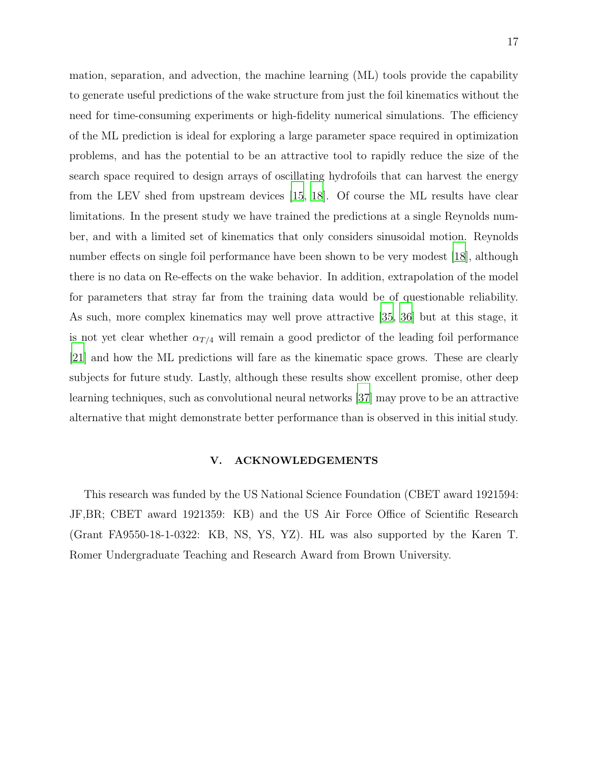mation, separation, and advection, the machine learning (ML) tools provide the capability to generate useful predictions of the wake structure from just the foil kinematics without the need for time-consuming experiments or high-fidelity numerical simulations. The efficiency of the ML prediction is ideal for exploring a large parameter space required in optimization problems, and has the potential to be an attractive tool to rapidly reduce the size of the search space required to design arrays of oscillating hydrofoils that can harvest the energy from the LEV shed from upstream devices [\[15](#page-17-12), [18](#page-17-15)]. Of course the ML results have clear limitations. In the present study we have trained the predictions at a single Reynolds number, and with a limited set of kinematics that only considers sinusoidal motion. Reynolds number effects on single foil performance have been shown to be very modest [\[18](#page-17-15)], although there is no data on Re-effects on the wake behavior. In addition, extrapolation of the model for parameters that stray far from the training data would be of questionable reliability. As such, more complex kinematics may well prove attractive [\[35,](#page-18-16) [36\]](#page-18-17) but at this stage, it is not yet clear whether  $\alpha_{T/4}$  will remain a good predictor of the leading foil performance [\[21](#page-18-2)] and how the ML predictions will fare as the kinematic space grows. These are clearly subjects for future study. Lastly, although these results show excellent promise, other deep learning techniques, such as convolutional neural networks [\[37\]](#page-18-18) may prove to be an attractive alternative that might demonstrate better performance than is observed in this initial study.

# V. ACKNOWLEDGEMENTS

This research was funded by the US National Science Foundation (CBET award 1921594: JF,BR; CBET award 1921359: KB) and the US Air Force Office of Scientific Research (Grant FA9550-18-1-0322: KB, NS, YS, YZ). HL was also supported by the Karen T. Romer Undergraduate Teaching and Research Award from Brown University.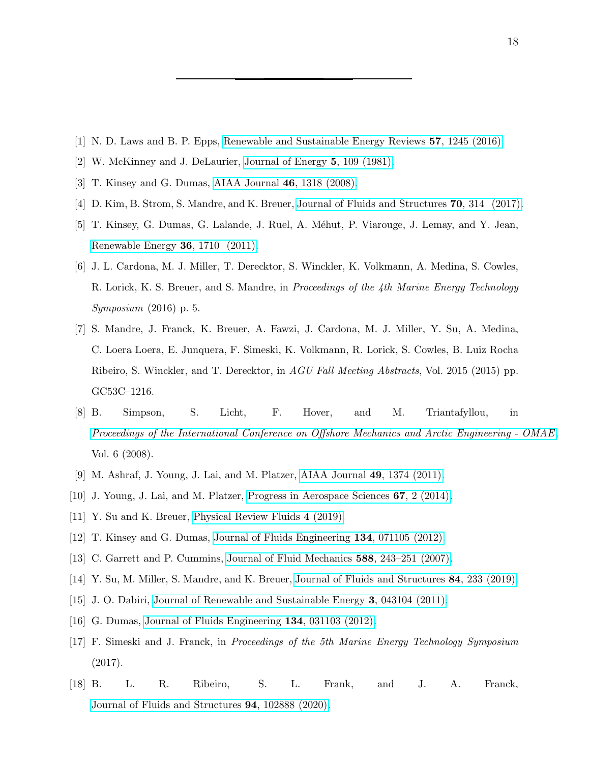- <span id="page-17-1"></span><span id="page-17-0"></span>[1] N. D. Laws and B. P. Epps, [Renewable and Sustainable Energy Reviews](https://doi.org/https://doi.org/10.1016/j.rser.2015.12.189) 57, 1245 (2016).
- <span id="page-17-2"></span>[2] W. McKinney and J. DeLaurier, [Journal of Energy](https://doi.org/10.2514/3.62510) 5, 109 (1981).
- <span id="page-17-3"></span>[3] T. Kinsey and G. Dumas, [AIAA Journal](https://doi.org/10.2514/1.26253) 46, 1318 (2008).
- <span id="page-17-4"></span>[4] D. Kim, B. Strom, S. Mandre, and K. Breuer, [Journal of Fluids and Structures](https://doi.org/https://doi.org/10.1016/j.jfluidstructs.2017.02.004) **70**, 314 (2017).
- [5] T. Kinsey, G. Dumas, G. Lalande, J. Ruel, A. Méhut, P. Viarouge, J. Lemay, and Y. Jean, [Renewable Energy](https://doi.org/https://doi.org/10.1016/j.renene.2010.11.037) 36, 1710 (2011).
- [6] J. L. Cardona, M. J. Miller, T. Derecktor, S. Winckler, K. Volkmann, A. Medina, S. Cowles, R. Lorick, K. S. Breuer, and S. Mandre, in Proceedings of the 4th Marine Energy Technology Symposium (2016) p. 5.
- <span id="page-17-5"></span>[7] S. Mandre, J. Franck, K. Breuer, A. Fawzi, J. Cardona, M. J. Miller, Y. Su, A. Medina, C. Loera Loera, E. Junquera, F. Simeski, K. Volkmann, R. Lorick, S. Cowles, B. Luiz Rocha Ribeiro, S. Winckler, and T. Derecktor, in AGU Fall Meeting Abstracts, Vol. 2015 (2015) pp. GC53C–1216.
- <span id="page-17-6"></span>[8] B. Simpson, S. Licht, F. Hover, and M. Triantafyllou, in [Proceedings of the International Conference on Offshore Mechanics and Arctic Engineering - OMAE](https://doi.org/10.1115/OMAE2008-58043), Vol. 6 (2008).
- <span id="page-17-7"></span>[9] M. Ashraf, J. Young, J. Lai, and M. Platzer, [AIAA Journal](https://doi.org/10.2514/1.J050577) 49, 1374 (2011).
- [10] J. Young, J. Lai, and M. Platzer, [Progress in Aerospace Sciences](https://doi.org/10.1016/j.paerosci.2013.11.001) 67, 2 (2014).
- <span id="page-17-8"></span>[11] Y. Su and K. Breuer, [Physical Review Fluids](https://doi.org/10.1103/PhysRevFluids.4.064701) 4 (2019).
- <span id="page-17-10"></span><span id="page-17-9"></span>[12] T. Kinsey and G. Dumas, [Journal of Fluids Engineering](https://doi.org/10.1115/1.4006914) 134, 071105 (2012).
- <span id="page-17-11"></span>[13] C. Garrett and P. Cummins, [Journal of Fluid Mechanics](https://doi.org/10.1017/S0022112007007781) 588, 243–251 (2007).
- [14] Y. Su, M. Miller, S. Mandre, and K. Breuer, [Journal of Fluids and Structures](https://doi.org/https://doi.org/10.1016/j.jfluidstructs.2018.11.006) 84, 233 (2019).
- <span id="page-17-12"></span>[15] J. O. Dabiri, [Journal of Renewable and Sustainable Energy](https://doi.org/10.1063/1.3608170) 3, 043104 (2011).
- <span id="page-17-13"></span>[16] G. Dumas, [Journal of Fluids Engineering](https://doi.org/10.1115/1.4005423) 134, 031103 (2012).
- <span id="page-17-14"></span>[17] F. Simeski and J. Franck, in Proceedings of the 5th Marine Energy Technology Symposium (2017).
- <span id="page-17-15"></span>[18] B. L. R. Ribeiro, S. L. Frank, and J. A. Franck, [Journal of Fluids and Structures](https://doi.org/https://doi.org/10.1016/j.jfluidstructs.2020.102888) 94, 102888 (2020).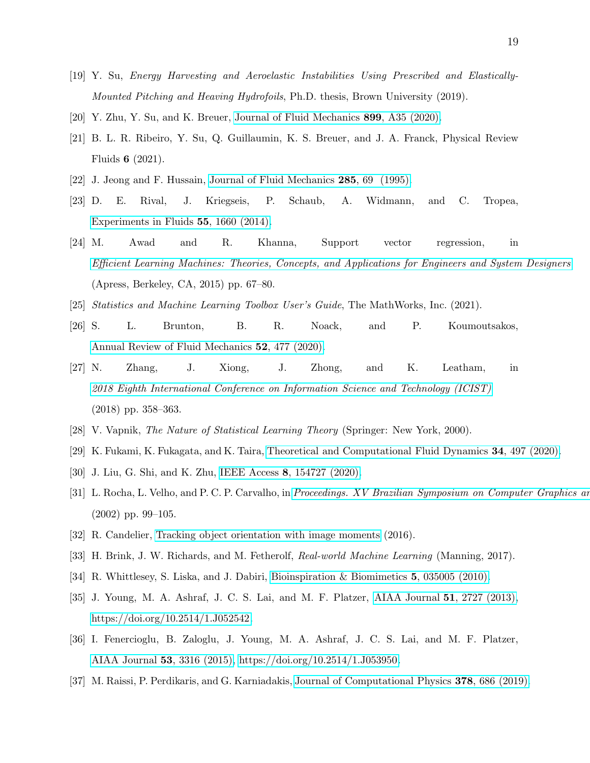- <span id="page-18-0"></span>[19] Y. Su, Energy Harvesting and Aeroelastic Instabilities Using Prescribed and Elastically-Mounted Pitching and Heaving Hydrofoils, Ph.D. thesis, Brown University (2019).
- <span id="page-18-2"></span><span id="page-18-1"></span>[20] Y. Zhu, Y. Su, and K. Breuer, [Journal of Fluid Mechanics](https://doi.org/10.1017/jfm.2020.481) 899, A35 (2020).
- [21] B. L. R. Ribeiro, Y. Su, Q. Guillaumin, K. S. Breuer, and J. A. Franck, Physical Review Fluids 6 (2021).
- <span id="page-18-4"></span><span id="page-18-3"></span>[22] J. Jeong and F. Hussain, [Journal of Fluid Mechanics](https://doi.org/10.1017/S0022112095000462) 285, 69 (1995).
- [23] D. E. Rival, J. Kriegseis, P. Schaub, A. Widmann, and C. Tropea, [Experiments in Fluids](https://doi.org/10.1007/s00348-013-1660-x) 55, 1660 (2014).
- <span id="page-18-5"></span>[24] M. Awad and R. Khanna, Support vector regression, in [Efficient Learning Machines: Theories, Concepts, and Applications for Engineers and System Designers](https://doi.org/10.1007/978-1-4302-5990-9_4) (Apress, Berkeley, CA, 2015) pp. 67–80.
- <span id="page-18-7"></span><span id="page-18-6"></span>[25] Statistics and Machine Learning Toolbox User's Guide, The MathWorks, Inc. (2021).
- [26] S. L. Brunton, B. R. Noack, and P. Koumoutsakos, [Annual Review of Fluid Mechanics](https://doi.org/10.1146/annurev-fluid-010719-060214) 52, 477 (2020).
- <span id="page-18-8"></span>[27] N. Zhang, J. Xiong, J. Zhong, and K. Leatham, in [2018 Eighth International Conference on Information Science and Technology \(ICIST\)](https://doi.org/10.1109/ICIST.2018.8426077) (2018) pp. 358–363.
- <span id="page-18-9"></span>[28] V. Vapnik, The Nature of Statistical Learning Theory (Springer: New York, 2000).
- <span id="page-18-10"></span>[29] K. Fukami, K. Fukagata, and K. Taira, [Theoretical and Computational Fluid Dynamics](https://doi.org/10.1007/s00162-020-00518-y) 34, 497 (2020).
- <span id="page-18-12"></span><span id="page-18-11"></span>[30] J. Liu, G. Shi, and K. Zhu, IEEE Access 8[, 154727 \(2020\).](https://doi.org/10.1109/ACCESS.2020.3018749)
- [31] L. Rocha, L. Velho, and P. C. P. Carvalho, in Proceedings. XV Brazilian Symposium on Computer Graphics and (2002) pp. 99–105.
- <span id="page-18-14"></span><span id="page-18-13"></span>[32] R. Candelier, [Tracking object orientation with image moments](http://raphael.candelier.fr/?blog=Image%20Moments) (2016).
- <span id="page-18-15"></span>[33] H. Brink, J. W. Richards, and M. Fetherolf, Real-world Machine Learning (Manning, 2017).
- [34] R. Whittlesey, S. Liska, and J. Dabiri, Bioinspiration & Biomimetics 5[, 035005 \(2010\).](https://doi.org/10.1088/1748-3182/5/3/035005)
- <span id="page-18-16"></span>[35] J. Young, M. A. Ashraf, J. C. S. Lai, and M. F. Platzer, [AIAA Journal](https://doi.org/10.2514/1.J052542) 51, 2727 (2013), [https://doi.org/10.2514/1.J052542.](https://arxiv.org/abs/https://doi.org/10.2514/1.J052542)
- <span id="page-18-17"></span>[36] I. Fenercioglu, B. Zaloglu, J. Young, M. A. Ashraf, J. C. S. Lai, and M. F. Platzer, [AIAA Journal](https://doi.org/10.2514/1.J053950) 53, 3316 (2015), [https://doi.org/10.2514/1.J053950.](https://arxiv.org/abs/https://doi.org/10.2514/1.J053950)
- <span id="page-18-18"></span>[37] M. Raissi, P. Perdikaris, and G. Karniadakis, [Journal of Computational Physics](https://doi.org/https://doi.org/10.1016/j.jcp.2018.10.045) 378, 686 (2019).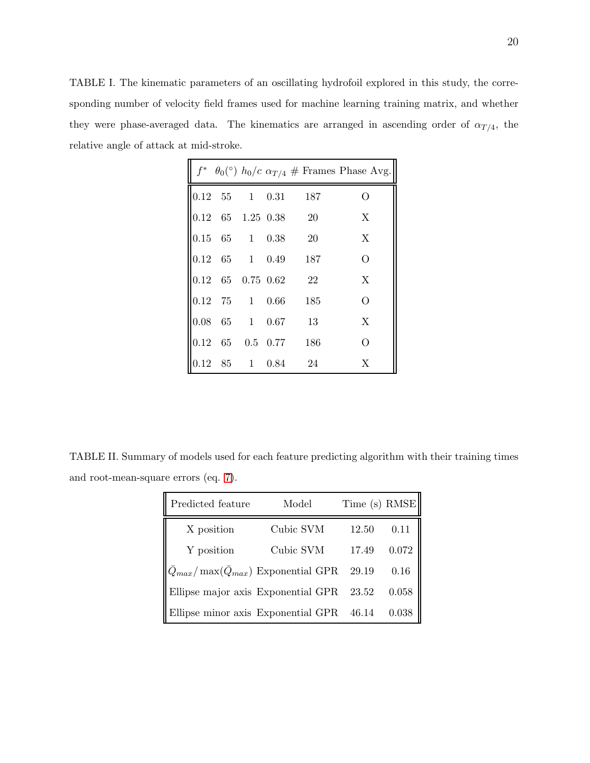<span id="page-19-0"></span>TABLE I. The kinematic parameters of an oscillating hydrofoil explored in this study, the corresponding number of velocity field frames used for machine learning training matrix, and whether they were phase-averaged data. The kinematics are arranged in ascending order of  $\alpha_{T/4}$ , the relative angle of attack at mid-stroke.

|  |  |                                                                | $\parallel f^* \theta_0({}^{\circ}) h_0/c \alpha_{T/4} \#$ Frames Phase Avg. |
|--|--|----------------------------------------------------------------|------------------------------------------------------------------------------|
|  |  | $\parallel$ 0.12 55 1 0.31 187                                 | О                                                                            |
|  |  | $\begin{array}{cccc} 0.12 & 65 & 1.25 & 0.38 & 20 \end{array}$ | X                                                                            |
|  |  | $\begin{array}{ l l } 0.15 & 65 & 1 & 0.38 & 20 \end{array}$   | X                                                                            |
|  |  | $\begin{vmatrix} 0.12 & 65 & 1 & 0.49 & 187 \end{vmatrix}$     | $\overline{O}$                                                               |
|  |  | $\begin{array}{cccc} 0.12 & 65 & 0.75 & 0.62 & 22 \end{array}$ | $\boldsymbol{\mathrm{X}}$                                                    |
|  |  | $\begin{array}{cccc} 0.12 & 75 & 1 & 0.66 & 185 \end{array}$   | $\overline{O}$                                                               |
|  |  | $\begin{vmatrix} 0.08 & 65 & 1 & 0.67 & 13 \end{vmatrix}$      | X                                                                            |
|  |  | $\begin{array}{cccc} 0.12 & 65 & 0.5 & 0.77 & 186 \end{array}$ | $\overline{O}$                                                               |
|  |  | $\begin{array}{cccc} 0.12 & 85 & 1 & 0.84 & 24 \end{array}$    | X                                                                            |

TABLE II. Summary of models used for each feature predicting algorithm with their training times and root-mean-square errors (eq. [7\)](#page-7-0).

<span id="page-19-1"></span>

| Predicted feature                                     | Model     | Time (s) RMSE |       |
|-------------------------------------------------------|-----------|---------------|-------|
| X position                                            | Cubic SVM | 12.50         | 0.11  |
| Y position                                            | Cubic SVM | 17.49         | 0.072 |
| $ Q_{max}/\max(\bar{Q}_{max}) $ Exponential GPR 29.19 |           |               | 0.16  |
| Ellipse major axis Exponential GPR $23.52$            |           |               | 0.058 |
| Ellipse minor axis Exponential GPR 46.14              |           |               | 0.038 |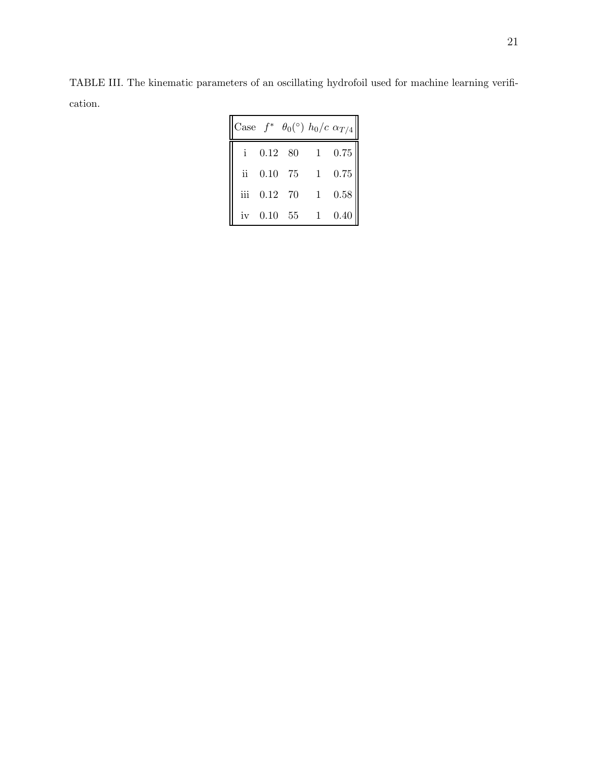<span id="page-20-0"></span>TABLE III. The kinematic parameters of an oscillating hydrofoil used for machine learning verification.

|               |            | Case $f^* \theta_0$ <sup>(°)</sup> $h_0/c \alpha_{T/4}$ |              |                |
|---------------|------------|---------------------------------------------------------|--------------|----------------|
|               | 0.12 80    |                                                         | 1            | 0.75           |
| $\mathbf{ii}$ | 0.10 75    |                                                         | 1            | $0.75\,$       |
| iii           | $0.12$ 70  |                                                         | $\mathbf{1}$ | $0.58\,$       |
|               | iv 0.10 55 |                                                         |              | $1 \quad 0.40$ |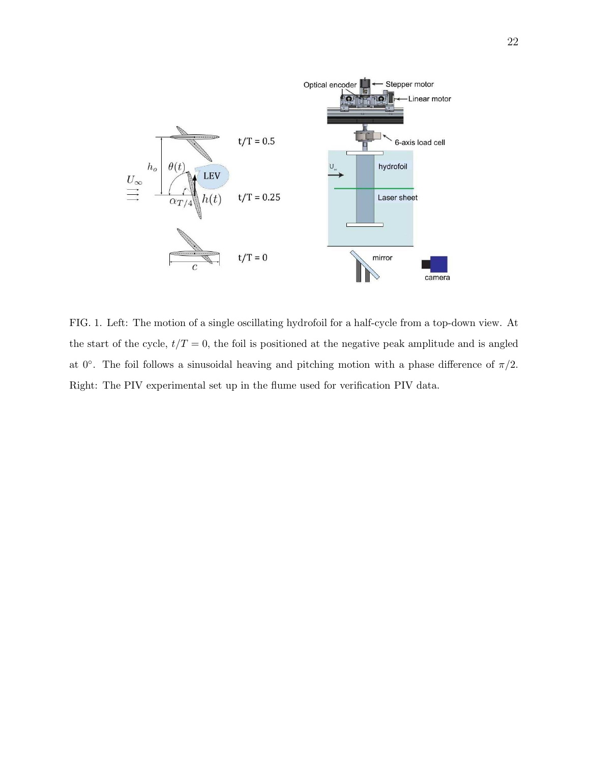

<span id="page-21-0"></span>FIG. 1. Left: The motion of a single oscillating hydrofoil for a half-cycle from a top-down view. At the start of the cycle,  $t/T = 0$ , the foil is positioned at the negative peak amplitude and is angled at 0°. The foil follows a sinusoidal heaving and pitching motion with a phase difference of  $\pi/2$ . Right: The PIV experimental set up in the flume used for verification PIV data.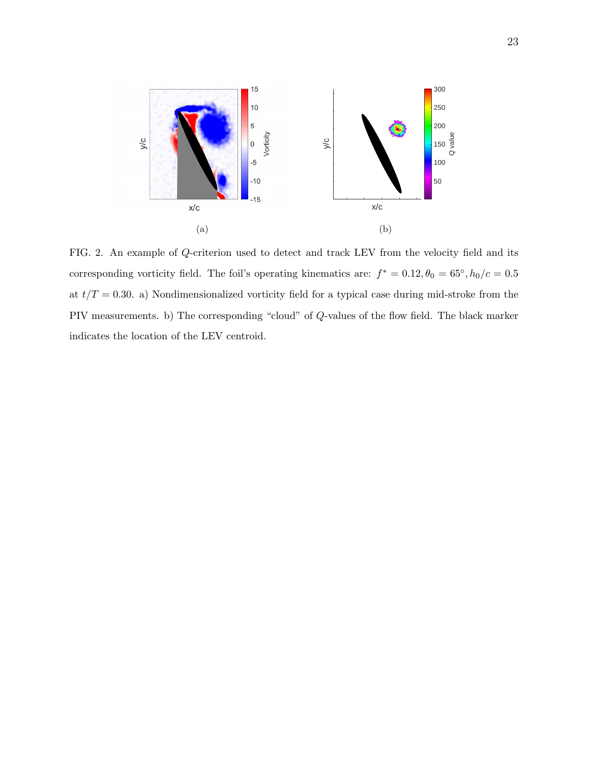<span id="page-22-1"></span><span id="page-22-0"></span>

FIG. 2. An example of Q-criterion used to detect and track LEV from the velocity field and its corresponding vorticity field. The foil's operating kinematics are:  $f^* = 0.12, \theta_0 = 65^{\circ}, h_0/c = 0.5^{\circ}$ at  $t/T = 0.30$ . a) Nondimensionalized vorticity field for a typical case during mid-stroke from the PIV measurements. b) The corresponding "cloud" of Q-values of the flow field. The black marker indicates the location of the LEV centroid.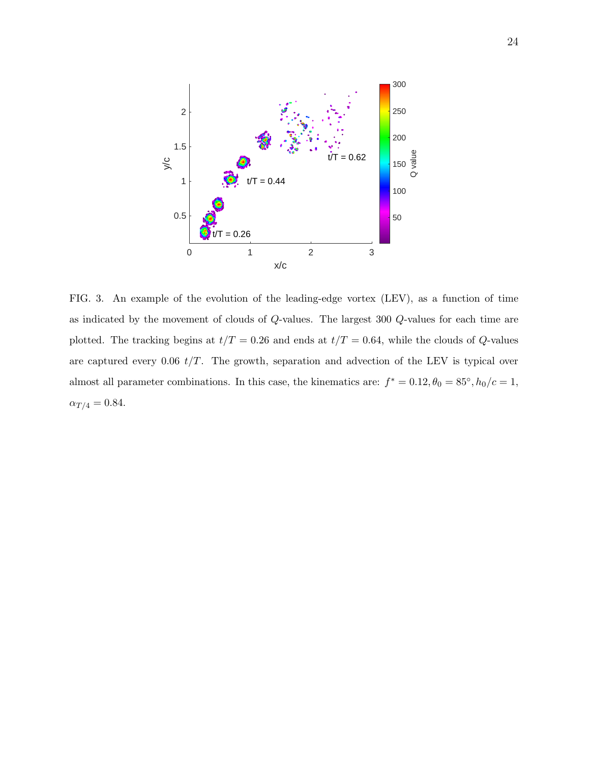

<span id="page-23-0"></span>FIG. 3. An example of the evolution of the leading-edge vortex (LEV), as a function of time as indicated by the movement of clouds of Q-values. The largest 300 Q-values for each time are plotted. The tracking begins at  $t/T = 0.26$  and ends at  $t/T = 0.64$ , while the clouds of Q-values are captured every 0.06  $t/T$ . The growth, separation and advection of the LEV is typical over almost all parameter combinations. In this case, the kinematics are:  $f^* = 0.12, \theta_0 = 85^\circ, h_0/c = 1$ ,  $\alpha_{T/4} = 0.84.$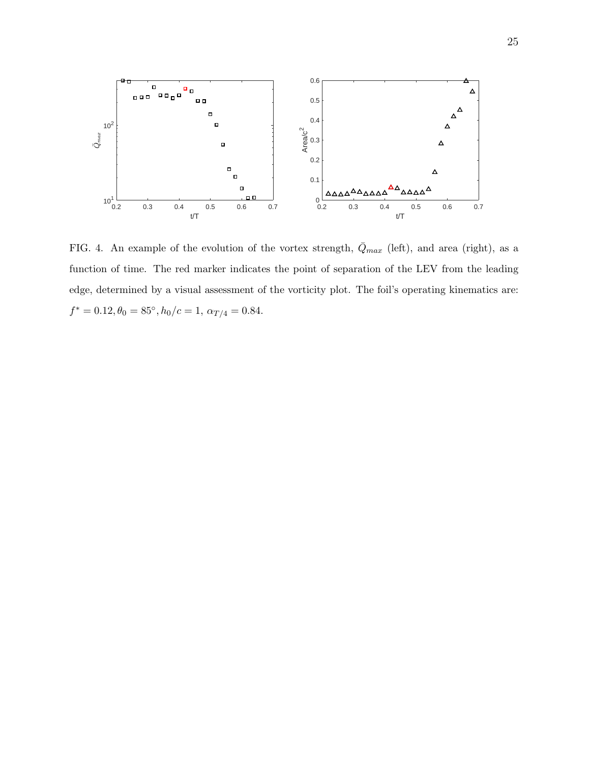

<span id="page-24-0"></span>FIG. 4. An example of the evolution of the vortex strength,  $\bar{Q}_{max}$  (left), and area (right), as a function of time. The red marker indicates the point of separation of the LEV from the leading edge, determined by a visual assessment of the vorticity plot. The foil's operating kinematics are:  $f^* = 0.12, \theta_0 = 85^\circ, h_0/c = 1, \alpha_{T/4} = 0.84.$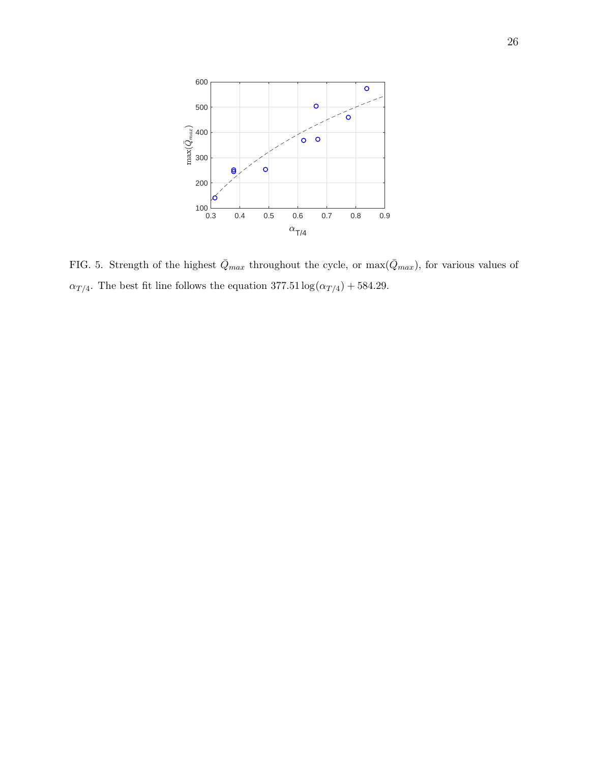

<span id="page-25-0"></span>FIG. 5. Strength of the highest  $\bar{Q}_{max}$  throughout the cycle, or max $(\bar{Q}_{max})$ , for various values of  $\alpha_{T/4}$ . The best fit line follows the equation 377.51  $\log(\alpha_{T/4}) + 584.29$ .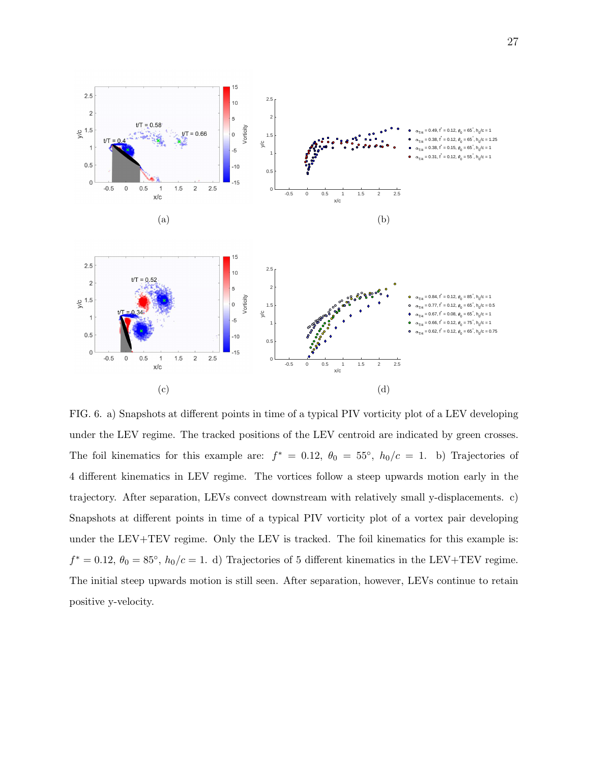<span id="page-26-0"></span>

<span id="page-26-1"></span>FIG. 6. a) Snapshots at different points in time of a typical PIV vorticity plot of a LEV developing under the LEV regime. The tracked positions of the LEV centroid are indicated by green crosses. The foil kinematics for this example are:  $f^* = 0.12$ ,  $\theta_0 = 55^\circ$ ,  $h_0/c = 1$ . b) Trajectories of 4 different kinematics in LEV regime. The vortices follow a steep upwards motion early in the trajectory. After separation, LEVs convect downstream with relatively small y-displacements. c) Snapshots at different points in time of a typical PIV vorticity plot of a vortex pair developing under the LEV+TEV regime. Only the LEV is tracked. The foil kinematics for this example is:  $f^* = 0.12, \ \theta_0 = 85^\circ, \ h_0/c = 1.$  d) Trajectories of 5 different kinematics in the LEV+TEV regime. The initial steep upwards motion is still seen. After separation, however, LEVs continue to retain positive y-velocity.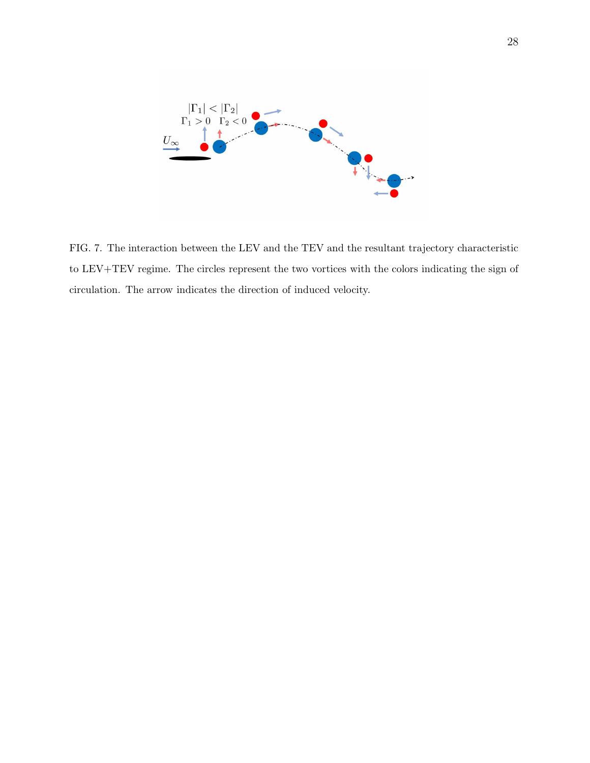

<span id="page-27-0"></span>FIG. 7. The interaction between the LEV and the TEV and the resultant trajectory characteristic to LEV+TEV regime. The circles represent the two vortices with the colors indicating the sign of circulation. The arrow indicates the direction of induced velocity.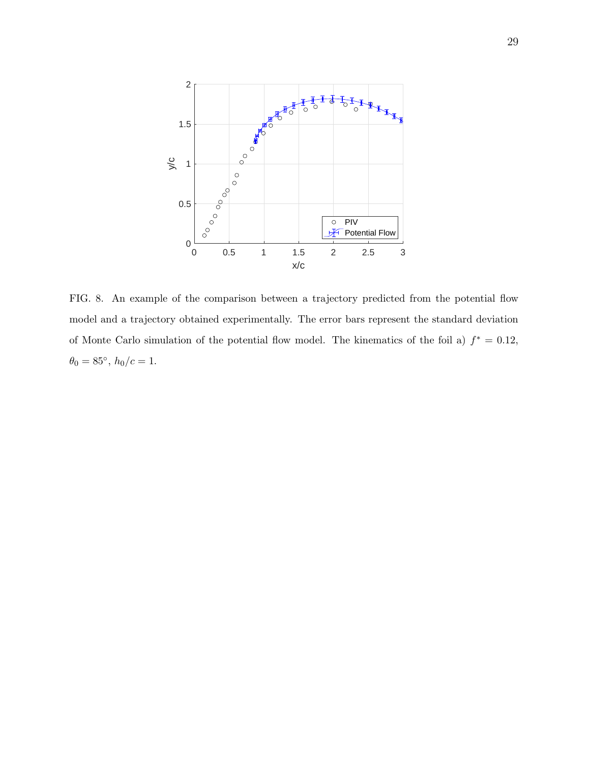

<span id="page-28-0"></span>FIG. 8. An example of the comparison between a trajectory predicted from the potential flow model and a trajectory obtained experimentally. The error bars represent the standard deviation of Monte Carlo simulation of the potential flow model. The kinematics of the foil a)  $f^* = 0.12$ ,  $\theta_0 = 85^\circ, h_0/c = 1.$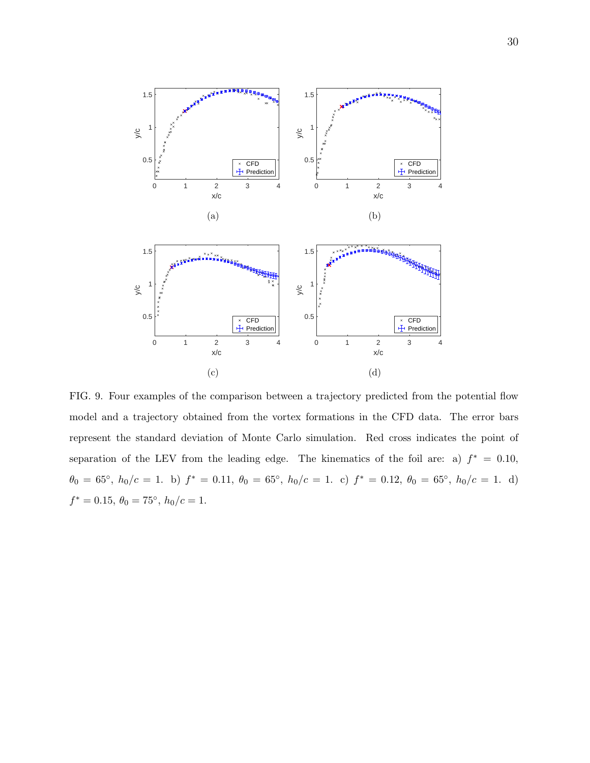<span id="page-29-2"></span>

<span id="page-29-1"></span><span id="page-29-0"></span>FIG. 9. Four examples of the comparison between a trajectory predicted from the potential flow model and a trajectory obtained from the vortex formations in the CFD data. The error bars represent the standard deviation of Monte Carlo simulation. Red cross indicates the point of separation of the LEV from the leading edge. The kinematics of the foil are: a)  $f^* = 0.10$ ,  $\theta_0 = 65^\circ$ ,  $h_0/c = 1$ . b)  $f^* = 0.11$ ,  $\theta_0 = 65^\circ$ ,  $h_0/c = 1$ . c)  $f^* = 0.12$ ,  $\theta_0 = 65^\circ$ ,  $h_0/c = 1$ . d)  $f^* = 0.15, \ \theta_0 = 75^\circ, \ h_0/c = 1.$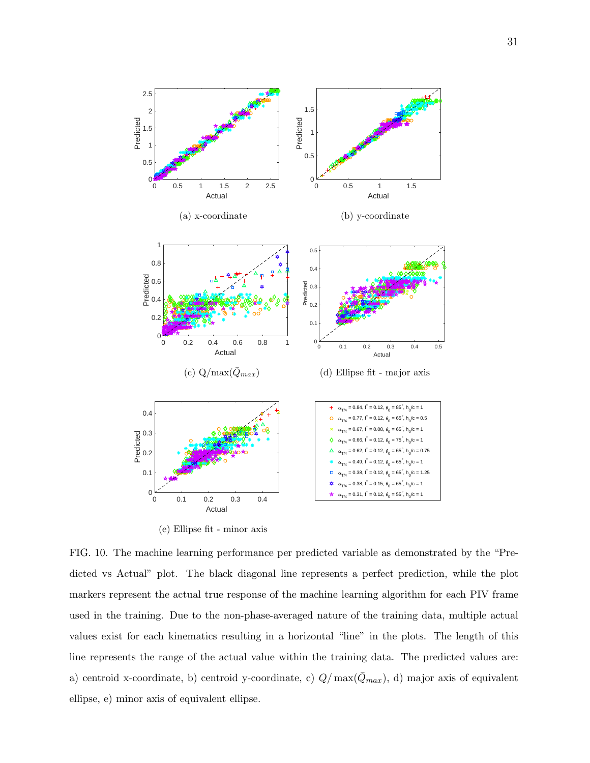<span id="page-30-5"></span><span id="page-30-2"></span><span id="page-30-1"></span>

<span id="page-30-4"></span><span id="page-30-3"></span>(e) Ellipse fit - minor axis

<span id="page-30-0"></span>FIG. 10. The machine learning performance per predicted variable as demonstrated by the "Predicted vs Actual" plot. The black diagonal line represents a perfect prediction, while the plot markers represent the actual true response of the machine learning algorithm for each PIV frame used in the training. Due to the non-phase-averaged nature of the training data, multiple actual values exist for each kinematics resulting in a horizontal "line" in the plots. The length of this line represents the range of the actual value within the training data. The predicted values are: a) centroid x-coordinate, b) centroid y-coordinate, c)  $Q/\max(\bar{Q}_{max})$ , d) major axis of equivalent ellipse, e) minor axis of equivalent ellipse.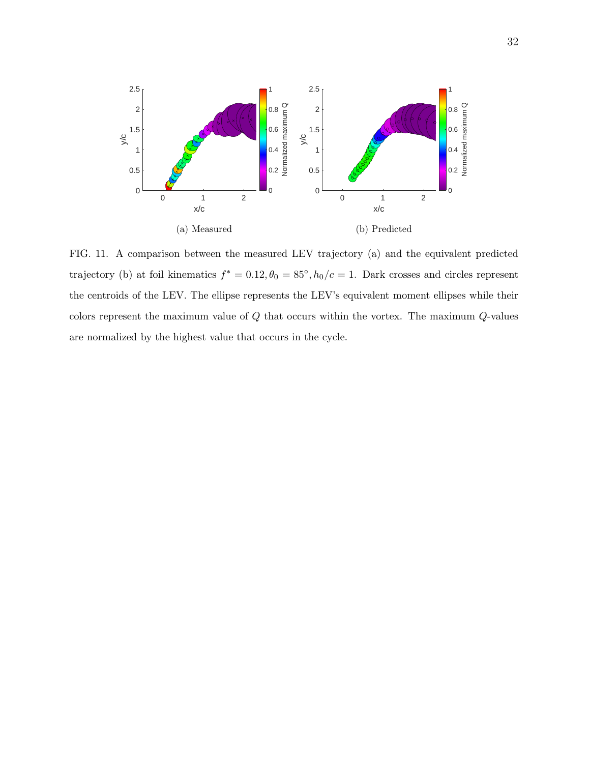

<span id="page-31-0"></span>FIG. 11. A comparison between the measured LEV trajectory (a) and the equivalent predicted trajectory (b) at foil kinematics  $f^* = 0.12, \theta_0 = 85^\circ, h_0/c = 1$ . Dark crosses and circles represent the centroids of the LEV. The ellipse represents the LEV's equivalent moment ellipses while their colors represent the maximum value of Q that occurs within the vortex. The maximum Q-values are normalized by the highest value that occurs in the cycle.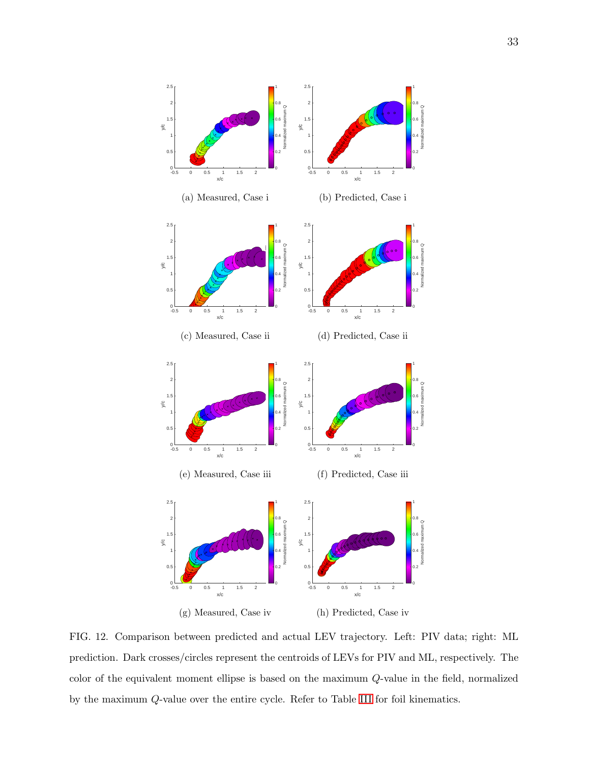<span id="page-32-1"></span>

<span id="page-32-2"></span><span id="page-32-0"></span>FIG. 12. Comparison between predicted and actual LEV trajectory. Left: PIV data; right: ML prediction. Dark crosses/circles represent the centroids of LEVs for PIV and ML, respectively. The color of the equivalent moment ellipse is based on the maximum Q-value in the field, normalized by the maximum Q-value over the entire cycle. Refer to Table [III](#page-20-0) for foil kinematics.